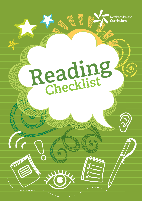

# **Reading**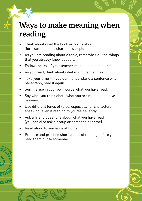## **Ways to make meaning when reading**

- Think about what the book or text is about (for example topic, characters or plot).
- As you are reading about a topic, remember all the things that you already know about it.
- Follow the text if your teacher reads it aloud to help out.
- • As you read, think about what might happen next.
- Take your time if you don't understand a sentence or a paragraph, read it again.
- Summarise in your own words what you have read.
- Say what you think about what you are reading and give reasons.
- Use different tones of voice, especially for characters speaking (even if reading to yourself silently).
- Ask a friend questions about what you have read (you can also ask a group or someone at home).
- Read aloud to someone at home.
- Prepare and practise short pieces of reading before you read them out to someone.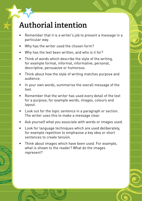## **Authorial intention**

- Remember that it is a writer's job to present a message in a particular way.
- Why has the writer used the chosen form?
- Why has the text been written, and who is it for?
- Think of words which describe the style of the writing. for example formal, informal, informative, personal, descriptive, persuasive or humorous.
- Think about how the style of writing matches purpose and audience.
- In your own words, summarise the overall message of the text.
- Remember that the writer has used every detail of the text for a purpose, for example words, images, colours and layout.
- Look out for the topic sentence in a paragraph or section. The writer uses this to make a message clear.
- Ask yourself what you associate with words or images used.
- Look for language techniques which are used deliberately, for example repetition to emphasise a key idea or short sentences to create tension.
- Think about images which have been used. For example, what is shown to the reader? What do the images represent?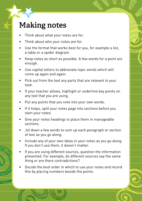## **Making notes**

- Think about what your notes are for.
- Think about who your notes are for.
- Use the format that works best for you, for example a list, a table or a spider diagram.
- Keep notes as short as possible. A few words for a point are enough.
- • Use capital letters to abbreviate topic words which will come up again and again.
- Pick out from the text any parts that are relevant to your task.
- If your teacher allows, highlight or underline key points on any text that you are using.
- Put any points that you note into your own words.
- If it helps, split your notes page into sections before you start your notes.
- • Give your notes headings to place them in manageable sections.
- Jot down a few words to sum up each paragraph or section of text as you go along.
- Include any of your own ideas in your notes as you go along. If you don't use them, it doesn't matter.
- If you are using different sources, question the information presented. For example, do different sources say the same thing or are there contradictions?
- Decide the best order in which to use your notes and record this by placing numbers beside the points.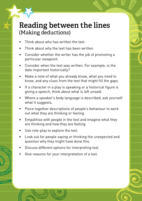#### **Reading between the lines** (Making deductions)

- Think about who has written the text.
- Think about why the text has been written.
- Consider whether the writer has the job of promoting a particular viewpoint.
- Consider when the text was written. For example, is the date important historically?
- Make a note of what you already know, what you need to know, and any clues from the text that might fill the gaps.
- If a character in a play is speaking or a historical figure is giving a speech, think about what is left unsaid.
- Where a speaker's body language is described, ask yourself what it suggests.
- Piece together descriptions of people's behaviour to work out what they are thinking or feeling.
- Empathise with people in the text and imagine what they are thinking and how they are feeling.
- Use role-play to explore the text.
- Look out for people saying or thinking the unexpected and question why they might have done this.
- Discuss different options for interpreting text.
- Give reasons for your interpretation of a text.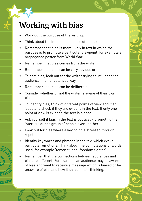# **Working with bias**

- Work out the purpose of the writing.
- Think about the intended audience of the text.
- Remember that bias is more likely in text in which the purpose is to promote a particular viewpoint, for example a propaganda poster from World War II.
- Remember that bias comes from the writer.
- • Remember that bias can be very obvious or hidden.
- To spot bias, look out for the writer trying to influence the audience in an unbalanced way.
- Remember that bias can be deliberate.
- Consider whether or not the writer is aware of their own bias.
- To identify bias, think of different points of view about an issue and check if they are evident in the text. If only one point of view is evident, the text is biased.
- Ask yourself if bias in the text is political promoting the interests of one group of people over another.
- Look out for bias where a key point is stressed through repetition.
- Identify key words and phrases in the text which evoke particular emotions. Think about the connotations of words used, for example 'terrorist' and 'freedom fighter'.
- Remember that the connections between audiences and bias are different. For example, an audience may be aware of bias and want to receive a message which is biased or be unaware of bias and how it shapes their thinking.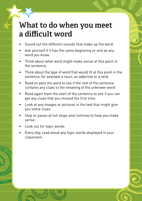## **What to do when you meet a difficult word**

- Sound out the different sounds that make up the word.
- Ask yourself if it has the same beginning or end as any word you know.
- Think about what word might make sense at this point in the sentence.
- Think about the type of word that would fit at this point in the sentence, for example a noun, an adjective or a verb.
- • Read on past the word to see if the rest of the sentence contains any clues to the meaning of the unknown word.
- Read again from the start of the sentence to see if you can get any clues that you missed the first time.
- Look at any images or pictures in the text that might give you some clues.
- Stop or pause at full stops and commas to help you make sense.
- Look out for topic words.
- Every day, read aloud any topic words displayed in your classroom.